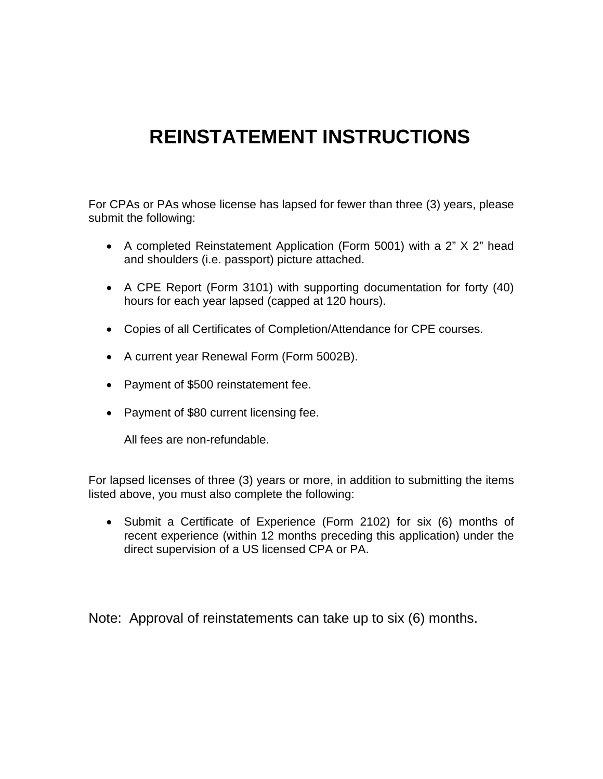# **REINSTATEMENT INSTRUCTIONS**

For CPAs or PAs whose license has lapsed for fewer than three (3) years, please submit the following:

- A completed Reinstatement Application (Form 5001) with a 2" X 2" head and shoulders (i.e. passport) picture attached.
- A CPE Report (Form 3101) with supporting documentation for forty (40) hours for each year lapsed (capped at 120 hours).
- Copies of all Certificates of Completion/Attendance for CPE courses.
- A current year Renewal Form (Form 5002B).
- Payment of \$500 reinstatement fee.
- Payment of \$80 current licensing fee.

All fees are non-refundable.

For lapsed licenses of three (3) years or more, in addition to submitting the items listed above, you must also complete the following:

• Submit a Certificate of Experience (Form 2102) for six (6) months of recent experience (within 12 months preceding this application) under the direct supervision of a US licensed CPA or PA.

Note: Approval of reinstatements can take up to six (6) months.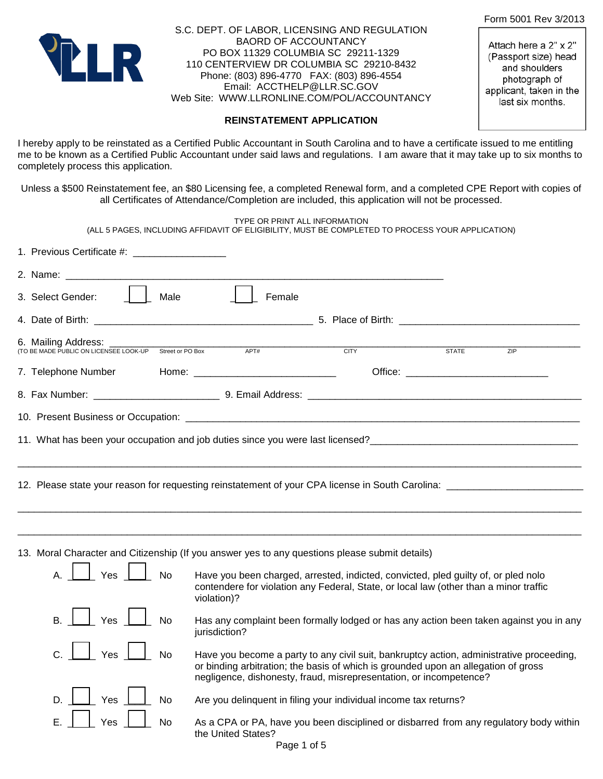Form 5001 Rev 3/2013

Attach here a 2" x 2" (Passport size) head and shoulders photograph of applicant, taken in the last six months.



S.C. DEPT. OF LABOR, LICENSING AND REGULATION BAORD OF ACCOUNTANCY PO BOX 11329 COLUMBIA SC 29211-1329 110 CENTERVIEW DR COLUMBIA SC 29210-8432 Phone: (803) 896-4770 FAX: (803) 896-4554 Email: ACCTHELP@LLR.SC.GOV Web Site: WWW.LLRONLINE.COM/POL/ACCOUNTANCY

#### **REINSTATEMENT APPLICATION**

I hereby apply to be reinstated as a Certified Public Accountant in South Carolina and to have a certificate issued to me entitling me to be known as a Certified Public Accountant under said laws and regulations. I am aware that it may take up to six months to completely process this application.

Unless a \$500 Reinstatement fee, an \$80 Licensing fee, a completed Renewal form, and a completed CPE Report with copies of all Certificates of Attendance/Completion are included, this application will not be processed.

TYPE OR PRINT ALL INFORMATION (ALL 5 PAGES, INCLUDING AFFIDAVIT OF ELIGIBILITY, MUST BE COMPLETED TO PROCESS YOUR APPLICATION) 1. Previous Certificate #: \_\_\_\_\_\_\_\_\_\_\_\_\_\_\_\_\_ 2. Name: **We arrive that the set of the set of the set of the set of the set of the set of the set of the set o** 3. Select Gender:  $\begin{array}{|c|c|c|c|c|} \hline \end{array}$  Male  $\begin{array}{|c|c|c|c|c|c|c|c|c|} \hline \end{array}$  Female 4. Date of Birth: **and Solution 2. All 2. Solution 2. Place of Birth:**  $\frac{1}{2}$  5. Place of Birth: 6. Mailing Address:<br>(TO BE MADE PUBLIC ON LICENSEE LOOK-UP Street or PO Box APT# CITY STITY STATE STATE ZIP ZIP 7. Telephone Number Home: \_\_\_\_\_\_\_\_\_\_\_\_\_\_\_\_\_\_\_\_\_\_\_\_\_\_\_\_\_ Office: \_\_\_\_\_\_\_\_\_\_\_\_\_\_\_\_\_\_\_\_\_\_\_\_\_\_\_\_ 8. Fax Number:  $\qquad \qquad$  9. Email Address: 10. Present Business or Occupation: \_\_\_\_\_\_\_\_\_\_\_\_\_\_\_\_\_\_\_\_\_\_\_\_\_\_\_\_\_\_\_\_\_\_\_\_\_\_\_\_\_\_\_\_\_\_\_\_\_\_\_\_\_\_\_\_\_\_\_\_\_\_\_\_\_\_\_\_\_\_\_\_ 11. What has been your occupation and job duties since you were last licensed?<br>
and the state of the state of the state of the state of the state of the state of the state of the state of t \_\_\_\_\_\_\_\_\_\_\_\_\_\_\_\_\_\_\_\_\_\_\_\_\_\_\_\_\_\_\_\_\_\_\_\_\_\_\_\_\_\_\_\_\_\_\_\_\_\_\_\_\_\_\_\_\_\_\_\_\_\_\_\_\_\_\_\_\_\_\_\_\_\_\_\_\_\_\_\_\_\_\_\_\_\_\_\_\_\_\_\_\_\_\_\_\_\_\_\_\_\_\_ 12. Please state your reason for requesting reinstatement of your CPA license in South Carolina: \_\_\_\_\_\_\_\_\_\_\_\_\_\_\_\_\_\_\_\_\_\_\_\_\_\_\_\_\_\_\_\_\_\_\_\_\_\_\_\_\_\_\_\_\_\_\_\_\_\_\_\_\_\_\_\_\_\_\_\_\_\_\_\_\_\_\_\_\_\_\_\_\_\_\_\_\_\_\_\_\_\_\_\_\_\_\_\_\_\_\_\_\_\_\_\_\_\_\_\_\_\_\_ \_\_\_\_\_\_\_\_\_\_\_\_\_\_\_\_\_\_\_\_\_\_\_\_\_\_\_\_\_\_\_\_\_\_\_\_\_\_\_\_\_\_\_\_\_\_\_\_\_\_\_\_\_\_\_\_\_\_\_\_\_\_\_\_\_\_\_\_\_\_\_\_\_\_\_\_\_\_\_\_\_\_\_\_\_\_\_\_\_\_\_\_\_\_\_\_\_\_\_\_\_\_\_ 13. Moral Character and Citizenship (If you answer yes to any questions please submit details)  $\Box$  Yes  $\Box$  No Have you been charged, arrested, indicted, convicted, pled guilty of, or pled nolo contendere for violation any Federal, State, or local law (other than a minor traffic violation)? Yes **No** Has any complaint been formally lodged or has any action been taken against you in any jurisdiction? Yes  $\Box$  No Have you become a party to any civil suit, bankruptcy action, administrative proceeding, or binding arbitration; the basis of which is grounded upon an allegation of gross negligence, dishonesty, fraud, misrepresentation, or incompetence? Yes  $\Box$  No Are you delinguent in filing your individual income tax returns? E. | | Yes | | No As a CPA or PA, have you been disciplined or disbarred from any regulatory body within the United States?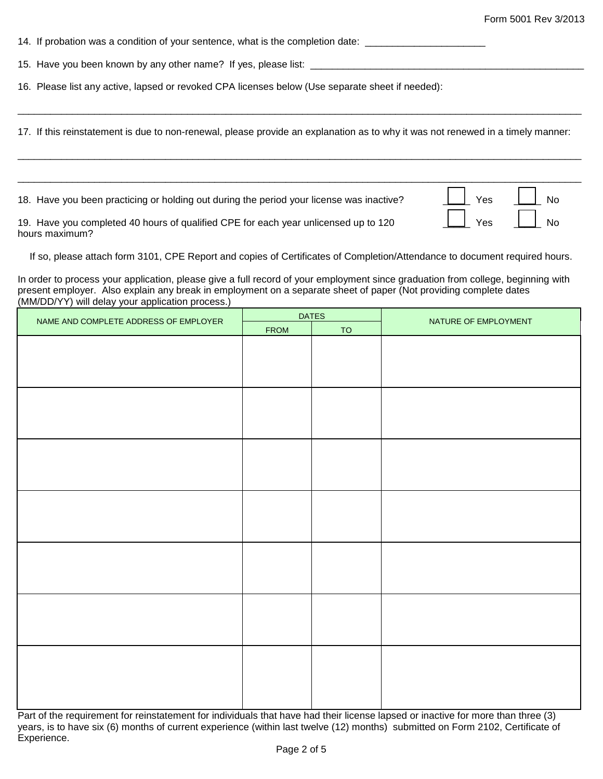14. If probation was a condition of your sentence, what is the completion date: \_\_\_\_\_\_\_\_\_\_\_\_\_\_\_\_\_\_\_

15. Have you been known by any other name? If yes, please list: \_\_\_\_\_\_\_\_\_\_\_\_\_\_\_\_\_\_\_\_\_\_\_\_\_\_\_\_\_\_\_\_\_\_\_\_\_\_\_\_\_\_\_\_\_\_\_\_\_\_

16. Please list any active, lapsed or revoked CPA licenses below (Use separate sheet if needed):

17. If this reinstatement is due to non-renewal, please provide an explanation as to why it was not renewed in a timely manner:

\_\_\_\_\_\_\_\_\_\_\_\_\_\_\_\_\_\_\_\_\_\_\_\_\_\_\_\_\_\_\_\_\_\_\_\_\_\_\_\_\_\_\_\_\_\_\_\_\_\_\_\_\_\_\_\_\_\_\_\_\_\_\_\_\_\_\_\_\_\_\_\_\_\_\_\_\_\_\_\_\_\_\_\_\_\_\_\_\_\_\_\_\_\_\_\_\_\_\_\_\_\_\_

\_\_\_\_\_\_\_\_\_\_\_\_\_\_\_\_\_\_\_\_\_\_\_\_\_\_\_\_\_\_\_\_\_\_\_\_\_\_\_\_\_\_\_\_\_\_\_\_\_\_\_\_\_\_\_\_\_\_\_\_\_\_\_\_\_\_\_\_\_\_\_\_\_\_\_\_\_\_\_\_\_\_\_\_\_\_\_\_\_\_\_\_\_\_\_\_\_\_\_\_\_\_\_

\_\_\_\_\_\_\_\_\_\_\_\_\_\_\_\_\_\_\_\_\_\_\_\_\_\_\_\_\_\_\_\_\_\_\_\_\_\_\_\_\_\_\_\_\_\_\_\_\_\_\_\_\_\_\_\_\_\_\_\_\_\_\_\_\_\_\_\_\_\_\_\_\_\_\_\_\_\_\_\_\_\_\_\_\_\_\_\_\_\_\_\_\_\_\_\_\_\_\_\_\_\_\_

18. Have you been practicing or holding out during the period your license was inactive? \_\_\_\_\_ Yes \_\_\_\_\_ No

19. Have you completed 40 hours of qualified CPE for each year unlicensed up to 120  $\Box$  Yes  $\Box$  No hours maximum?

If so, please attach form 3101, CPE Report and copies of Certificates of Completion/Attendance to document required hours.

In order to process your application, please give a full record of your employment since graduation from college, beginning with present employer. Also explain any break in employment on a separate sheet of paper (Not providing complete dates (MM/DD/YY) will delay your application process.)

| NAME AND COMPLETE ADDRESS OF EMPLOYER | <b>DATES</b> |           |                      |
|---------------------------------------|--------------|-----------|----------------------|
|                                       | <b>FROM</b>  | <b>TO</b> | NATURE OF EMPLOYMENT |
|                                       |              |           |                      |
|                                       |              |           |                      |
|                                       |              |           |                      |
|                                       |              |           |                      |
|                                       |              |           |                      |
|                                       |              |           |                      |
|                                       |              |           |                      |
|                                       |              |           |                      |
|                                       |              |           |                      |
|                                       |              |           |                      |
|                                       |              |           |                      |
|                                       |              |           |                      |
|                                       |              |           |                      |
|                                       |              |           |                      |
|                                       |              |           |                      |
|                                       |              |           |                      |
|                                       |              |           |                      |
|                                       |              |           |                      |
|                                       |              |           |                      |
|                                       |              |           |                      |
|                                       |              |           |                      |
|                                       |              |           |                      |
|                                       |              |           |                      |
|                                       |              |           |                      |
|                                       |              |           |                      |
|                                       |              |           |                      |
|                                       |              |           |                      |

Part of the requirement for reinstatement for individuals that have had their license lapsed or inactive for more than three (3) years, is to have six (6) months of current experience (within last twelve (12) months) submitted on Form 2102, Certificate of Experience.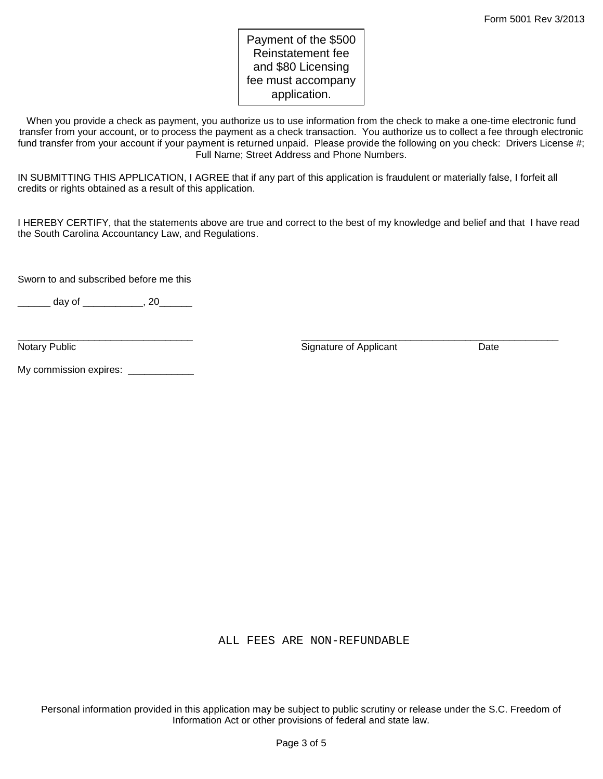# Payment of the \$500 Reinstatement fee and \$80 Licensing fee must accompany application.

When you provide a check as payment, you authorize us to use information from the check to make a one-time electronic fund transfer from your account, or to process the payment as a check transaction. You authorize us to collect a fee through electronic fund transfer from your account if your payment is returned unpaid. Please provide the following on you check: Drivers License #; Full Name; Street Address and Phone Numbers.

IN SUBMITTING THIS APPLICATION, I AGREE that if any part of this application is fraudulent or materially false, I forfeit all credits or rights obtained as a result of this application.

I HEREBY CERTIFY, that the statements above are true and correct to the best of my knowledge and belief and that I have read the South Carolina Accountancy Law, and Regulations.

Sworn to and subscribed before me this

\_\_\_\_\_\_\_ day of \_\_\_\_\_\_\_\_\_\_\_, 20\_\_\_\_\_\_

\_\_\_\_\_\_\_\_\_\_\_\_\_\_\_\_\_\_\_\_\_\_\_\_\_\_\_\_\_\_\_\_ \_\_\_\_\_\_\_\_\_\_\_\_\_\_\_\_\_\_\_\_\_\_\_\_\_\_\_\_\_\_\_\_\_\_\_\_\_\_\_\_\_\_\_\_\_\_\_ Notary Public **Notary Public Community** Control of Applicant Control of Applicant Date Date

My commission expires: \_\_\_\_\_\_\_\_\_\_\_\_

ALL FEES ARE NON-REFUNDABLE

Personal information provided in this application may be subject to public scrutiny or release under the S.C. Freedom of Information Act or other provisions of federal and state law.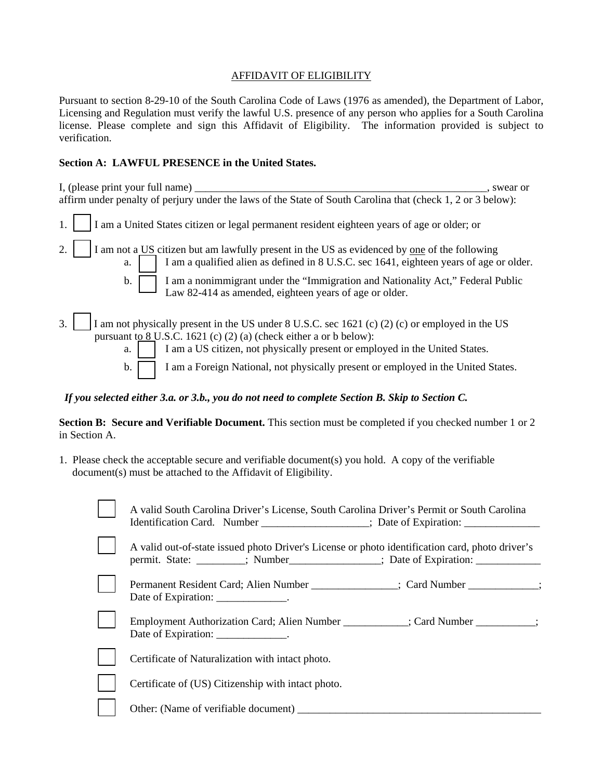### AFFIDAVIT OF ELIGIBILITY

Pursuant to section 8-29-10 of the South Carolina Code of Laws (1976 as amended), the Department of Labor, Licensing and Regulation must verify the lawful U.S. presence of any person who applies for a South Carolina license. Please complete and sign this Affidavit of Eligibility. The information provided is subject to verification.

## **Section A: LAWFUL PRESENCE in the United States.**

| I, (please print your full name)<br>swear or                                                                                                                                                                                                                                                                                                                  |
|---------------------------------------------------------------------------------------------------------------------------------------------------------------------------------------------------------------------------------------------------------------------------------------------------------------------------------------------------------------|
| affirm under penalty of perjury under the laws of the State of South Carolina that (check 1, 2 or 3 below):                                                                                                                                                                                                                                                   |
| I am a United States citizen or legal permanent resident eighteen years of age or older; or                                                                                                                                                                                                                                                                   |
| I am not a US citizen but am lawfully present in the US as evidenced by one of the following<br>2.<br>I am a qualified alien as defined in 8 U.S.C. sec 1641, eighteen years of age or older.<br>a.                                                                                                                                                           |
| I am a nonimmigrant under the "Immigration and Nationality Act," Federal Public<br>$\mathbf{b}$ .<br>Law 82-414 as amended, eighteen years of age or older.                                                                                                                                                                                                   |
| I am not physically present in the US under 8 U.S.C. sec 1621 (c) (2) (c) or employed in the US<br>3.<br>pursuant to $8$ U.S.C. 1621 (c) (2) (a) (check either a or b below):<br>I am a US citizen, not physically present or employed in the United States.<br>a.<br>I am a Foreign National, not physically present or employed in the United States.<br>b. |

 *If you selected either 3.a. or 3.b., you do not need to complete Section B. Skip to Section C.* 

**Section B: Secure and Verifiable Document.** This section must be completed if you checked number 1 or 2 in Section A.

1. Please check the acceptable secure and verifiable document(s) you hold. A copy of the verifiable document(s) must be attached to the Affidavit of Eligibility.

| A valid South Carolina Driver's License, South Carolina Driver's Permit or South Carolina<br>Identification Card. Number __________________; Date of Expiration: _____________ |
|--------------------------------------------------------------------------------------------------------------------------------------------------------------------------------|
| A valid out-of-state issued photo Driver's License or photo identification card, photo driver's<br>permit. State: ________; Number ________; Date of Expiration:               |
| Permanent Resident Card; Alien Number ______________; Card Number __________;<br>Date of Expiration: ______________.                                                           |
| Employment Authorization Card; Alien Number ___________; Card Number _________;<br>Date of Expiration: ______________.                                                         |
| Certificate of Naturalization with intact photo.                                                                                                                               |
| Certificate of (US) Citizenship with intact photo.                                                                                                                             |
| Other: (Name of verifiable document)                                                                                                                                           |